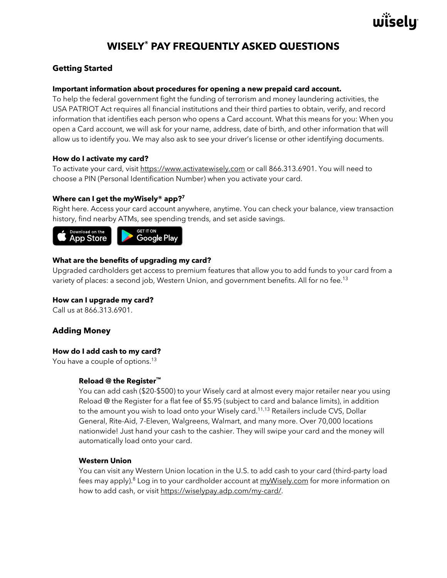

# **WISELY® PAY FREQUENTLY ASKED QUESTIONS**

# **Getting Started**

# **Important information about procedures for opening a new prepaid card account.**

To help the federal government fight the funding of terrorism and money laundering activities, the USA PATRIOT Act requires all financial institutions and their third parties to obtain, verify, and record information that identifies each person who opens a Card account. What this means for you: When you open a Card account, we will ask for your name, address, date of birth, and other information that will allow us to identify you. We may also ask to see your driver's license or other identifying documents.

# **How do I activate my card?**

To activate your card, visit https://www.activatewisely.com or call 866.313.6901. You will need to choose a PIN (Personal Identification Number) when you activate your card.

# **Where can I get the myWisely® app?7**

Right here. Access your card account anywhere, anytime. You can check your balance, view transaction history, find nearby ATMs, see spending trends, and set aside savings.



# **What are the benefits of upgrading my card?**

Upgraded cardholders get access to premium features that allow you to add funds to your card from a variety of places: a second job, Western Union, and government benefits. All for no fee.<sup>13</sup>

# **How can I upgrade my card?**

Call us at 866.313.6901.

# **Adding Money**

# **How do I add cash to my card?**

You have a couple of options.<sup>13</sup>

# **Reload @ the Register™**

You can add cash (\$20-\$500) to your Wisely card at almost every major retailer near you using Reload @ the Register for a flat fee of \$5.95 (subject to card and balance limits), in addition to the amount you wish to load onto your Wisely card.<sup>11,13</sup> Retailers include CVS, Dollar General, Rite-Aid, 7-Eleven, Walgreens, Walmart, and many more. Over 70,000 locations nationwide! Just hand your cash to the cashier. They will swipe your card and the money will automatically load onto your card.

#### **Western Union**

You can visit any Western Union location in the U.S. to add cash to your card (third-party load fees may apply).<sup>8</sup> Log in to your cardholder account at myWisely.com for more information on how to add cash, or visit https://wiselypay.adp.com/my-card/.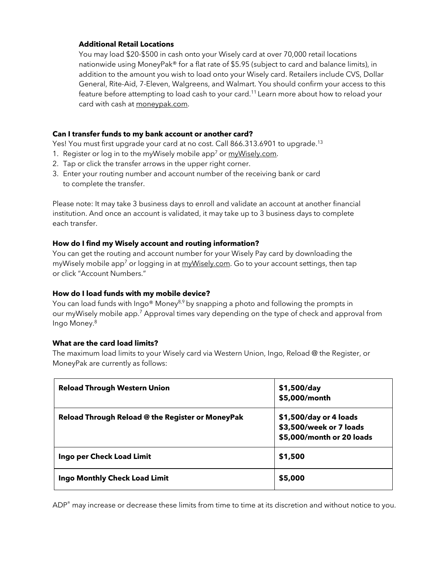# **Additional Retail Locations**

You may load \$20-\$500 in cash onto your Wisely card at over 70,000 retail locations nationwide using MoneyPak® for a flat rate of \$5.95 (subject to card and balance limits), in addition to the amount you wish to load onto your Wisely card. Retailers include CVS, Dollar General, Rite-Aid, 7-Eleven, Walgreens, and Walmart. You should confirm your access to this feature before attempting to load cash to your card.<sup>11</sup> Learn more about how to reload your card with cash at moneypak.com.

# **Can I transfer funds to my bank account or another card?**

Yes! You must first upgrade your card at no cost. Call 866.313.6901 to upgrade.<sup>13</sup>

- 1. Register or log in to the myWisely mobile app<sup>7</sup> or  $m\nu W isel v.com$ .
- 2. Tap or click the transfer arrows in the upper right corner.
- 3. Enter your routing number and account number of the receiving bank or card to complete the transfer.

Please note: It may take 3 business days to enroll and validate an account at another financial institution. And once an account is validated, it may take up to 3 business days to complete each transfer.

# **How do I find my Wisely account and routing information?**

You can get the routing and account number for your Wisely Pay card by downloading the myWisely mobile app<sup>7</sup> or logging in at myWisely.com. Go to your account settings, then tap or click "Account Numbers."

# **How do I load funds with my mobile device?**

You can load funds with Ingo® Money<sup>8,9</sup> by snapping a photo and following the prompts in our myWisely mobile app.<sup>7</sup> Approval times vary depending on the type of check and approval from Ingo Money.8

# **What are the card load limits?**

The maximum load limits to your Wisely card via Western Union, Ingo, Reload @ the Register, or MoneyPak are currently as follows:

| <b>Reload Through Western Union</b>              | \$1,500/day<br>\$5,000/month                                                   |
|--------------------------------------------------|--------------------------------------------------------------------------------|
| Reload Through Reload @ the Register or MoneyPak | \$1,500/day or 4 loads<br>\$3,500/week or 7 loads<br>\$5,000/month or 20 loads |
| Ingo per Check Load Limit                        | \$1,500                                                                        |
| Ingo Monthly Check Load Limit                    | \$5,000                                                                        |

ADP<sup>®</sup> may increase or decrease these limits from time to time at its discretion and without notice to you.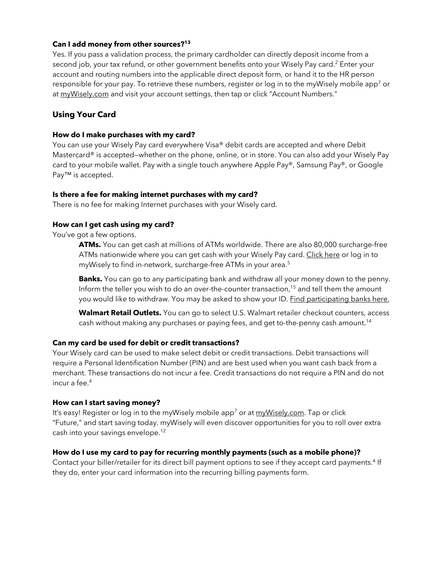# **Can I add money from other sources?13**

Yes. If you pass a validation process, the primary cardholder can directly deposit income from a second job, your tax refund, or other government benefits onto your Wisely Pay card.<sup>2</sup> Enter your account and routing numbers into the applicable direct deposit form, or hand it to the HR person responsible for your pay. To retrieve these numbers, register or log in to the myWisely mobile app<sup>7</sup> or at myWisely.com and visit your account settings, then tap or click "Account Numbers."

# **Using Your Card**

#### **How do I make purchases with my card?**

You can use your Wisely Pay card everywhere Visa® debit cards are accepted and where Debit Mastercard<sup>®</sup> is accepted–whether on the phone, online, or in store. You can also add your Wisely Pay card to your mobile wallet. Pay with a single touch anywhere Apple Pay®, Samsung Pay®, or Google Pay<sup>™</sup> is accepted.

# **Is there a fee for making internet purchases with my card?**

There is no fee for making Internet purchases with your Wisely card.

# **How can I get cash using my card?**

You've got a few options.

**ATMs.** You can get cash at millions of ATMs worldwide. There are also 80,000 surcharge-free ATMs nationwide where you can get cash with your Wisely Pay card. Click here or log in to myWisely to find in-network, surcharge-free ATMs in your area.<sup>5</sup>

**Banks.** You can go to any participating bank and withdraw all your money down to the penny. Inform the teller you wish to do an over-the-counter transaction, <sup>15</sup> and tell them the amount you would like to withdraw. You may be asked to show your ID. Find participating banks here.

Walmart Retail Outlets. You can go to select U.S. Walmart retailer checkout counters, access cash without making any purchases or paying fees, and get to-the-penny cash amount. 14

#### **Can my card be used for debit or credit transactions?**

Your Wisely card can be used to make select debit or credit transactions. Debit transactions will require a Personal Identification Number (PIN) and are best used when you want cash back from a merchant. These transactions do not incur a fee. Credit transactions do not require a PIN and do not incur a fee.4

#### **How can I start saving money?**

It's easy! Register or log in to the myWisely mobile app<sup>7</sup> or at myWisely.com. Tap or click "Future," and start saving today. myWisely will even discover opportunities for you to roll over extra cash into your savings envelope.12

#### **How do I use my card to pay for recurring monthly payments (such as a mobile phone)?**

Contact your biller/retailer for its direct bill payment options to see if they accept card payments.4 If they do, enter your card information into the recurring billing payments form.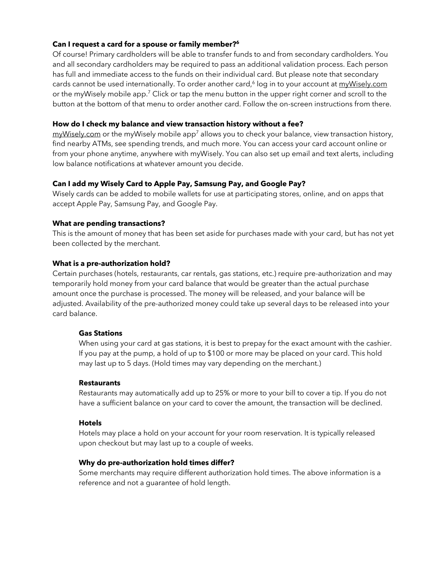# **Can I request a card for a spouse or family member?6**

Of course! Primary cardholders will be able to transfer funds to and from secondary cardholders. You and all secondary cardholders may be required to pass an additional validation process. Each person has full and immediate access to the funds on their individual card. But please note that secondary cards cannot be used internationally. To order another card,<sup>6</sup> log in to your account at  $m\nu Wiselv.com$ or the myWisely mobile app.7 Click or tap the menu button in the upper right corner and scroll to the button at the bottom of that menu to order another card. Follow the on-screen instructions from there.

#### **How do I check my balance and view transaction history without a fee?**

 $m\nu Wisely.com$  or the myWisely mobile app<sup>7</sup> allows you to check your balance, view transaction history, find nearby ATMs, see spending trends, and much more. You can access your card account online or from your phone anytime, anywhere with myWisely. You can also set up email and text alerts, including low balance notifications at whatever amount you decide.

#### **Can I add my Wisely Card to Apple Pay, Samsung Pay, and Google Pay?**

Wisely cards can be added to mobile wallets for use at participating stores, online, and on apps that accept Apple Pay, Samsung Pay, and Google Pay.

#### **What are pending transactions?**

This is the amount of money that has been set aside for purchases made with your card, but has not yet been collected by the merchant.

#### **What is a pre-authorization hold?**

Certain purchases (hotels, restaurants, car rentals, gas stations, etc.) require pre-authorization and may temporarily hold money from your card balance that would be greater than the actual purchase amount once the purchase is processed. The money will be released, and your balance will be adjusted. Availability of the pre-authorized money could take up several days to be released into your card balance.

#### **Gas Stations**

When using your card at gas stations, it is best to prepay for the exact amount with the cashier. If you pay at the pump, a hold of up to \$100 or more may be placed on your card. This hold may last up to 5 days. (Hold times may vary depending on the merchant.)

#### **Restaurants**

Restaurants may automatically add up to 25% or more to your bill to cover a tip. If you do not have a sufficient balance on your card to cover the amount, the transaction will be declined.

#### **Hotels**

Hotels may place a hold on your account for your room reservation. It is typically released upon checkout but may last up to a couple of weeks.

#### **Why do pre-authorization hold times differ?**

Some merchants may require different authorization hold times. The above information is a reference and not a guarantee of hold length.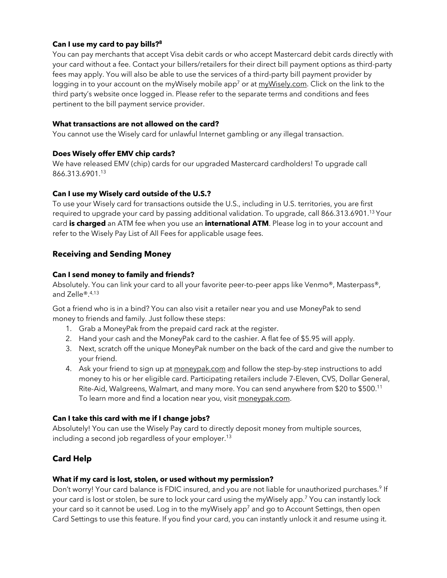# **Can I use my card to pay bills?8**

You can pay merchants that accept Visa debit cards or who accept Mastercard debit cards directly with your card without a fee. Contact your billers/retailers for their direct bill payment options as third-party fees may apply. You will also be able to use the services of a third-party bill payment provider by logging in to your account on the myWisely mobile app<sup>7</sup> or at myWisely.com. Click on the link to the third party's website once logged in. Please refer to the separate terms and conditions and fees pertinent to the bill payment service provider.

#### **What transactions are not allowed on the card?**

You cannot use the Wisely card for unlawful Internet gambling or any illegal transaction.

#### **Does Wisely offer EMV chip cards?**

We have released EMV (chip) cards for our upgraded Mastercard cardholders! To upgrade call 866.313.6901. 13

#### **Can I use my Wisely card outside of the U.S.?**

To use your Wisely card for transactions outside the U.S., including in U.S. territories, you are first required to upgrade your card by passing additional validation. To upgrade, call 866.313.6901. 13 Your card **is charged** an ATM fee when you use an **international ATM**. Please log in to your account and refer to the Wisely Pay List of All Fees for applicable usage fees.

# **Receiving and Sending Money**

#### **Can I send money to family and friends?**

Absolutely. You can link your card to all your favorite peer-to-peer apps like Venmo®, Masterpass®, and Zelle®.4,13

Got a friend who is in a bind? You can also visit a retailer near you and use MoneyPak to send money to friends and family. Just follow these steps:

- 1. Grab a MoneyPak from the prepaid card rack at the register.
- 2. Hand your cash and the MoneyPak card to the cashier. A flat fee of \$5.95 will apply.
- 3. Next, scratch off the unique MoneyPak number on the back of the card and give the number to your friend.
- 4. Ask your friend to sign up at moneypak.com and follow the step-by-step instructions to add money to his or her eligible card. Participating retailers include 7-Eleven, CVS, Dollar General, Rite-Aid, Walgreens, Walmart, and many more. You can send anywhere from \$20 to \$500.11 To learn more and find a location near you, visit moneypak.com.

#### **Can I take this card with me if I change jobs?**

Absolutely! You can use the Wisely Pay card to directly deposit money from multiple sources, including a second job regardless of your employer.<sup>13</sup>

# **Card Help**

#### **What if my card is lost, stolen, or used without my permission?**

Don't worry! Your card balance is FDIC insured, and you are not liable for unauthorized purchases.<sup>9</sup> If your card is lost or stolen, be sure to lock your card using the myWisely app.7 You can instantly lock your card so it cannot be used. Log in to the myWisely app<sup>7</sup> and go to Account Settings, then open Card Settings to use this feature. If you find your card, you can instantly unlock it and resume using it.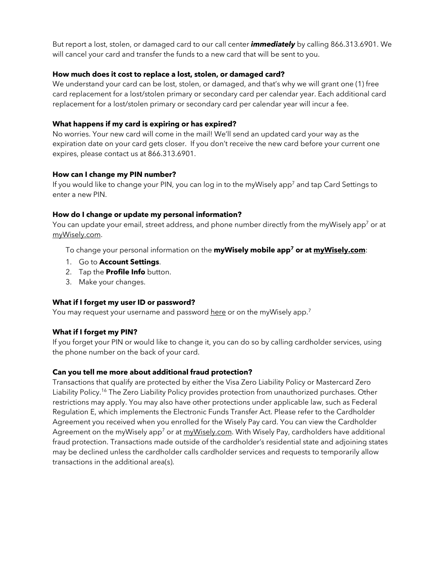But report a lost, stolen, or damaged card to our call center *immediately* by calling 866.313.6901. We will cancel your card and transfer the funds to a new card that will be sent to you.

# **How much does it cost to replace a lost, stolen, or damaged card?**

We understand your card can be lost, stolen, or damaged, and that's why we will grant one (1) free card replacement for a lost/stolen primary or secondary card per calendar year. Each additional card replacement for a lost/stolen primary or secondary card per calendar year will incur a fee.

# **What happens if my card is expiring or has expired?**

No worries. Your new card will come in the mail! We'll send an updated card your way as the expiration date on your card gets closer. If you don't receive the new card before your current one expires, please contact us at 866.313.6901.

# **How can I change my PIN number?**

If you would like to change your PIN, you can log in to the myWisely app<sup>7</sup> and tap Card Settings to enter a new PIN.

# **How do I change or update my personal information?**

You can update your email, street address, and phone number directly from the myWisely app<sup>7</sup> or at myWisely.com.

To change your personal information on the **myWisely mobile app7 or at myWisely.com**:

- 1. Go to **Account Settings**.
- 2. Tap the **Profile Info** button.
- 3. Make your changes.

#### **What if I forget my user ID or password?**

You may request your username and password here or on the myWisely app.<sup>7</sup>

# **What if I forget my PIN?**

If you forget your PIN or would like to change it, you can do so by calling cardholder services, using the phone number on the back of your card.

# **Can you tell me more about additional fraud protection?**

Transactions that qualify are protected by either the Visa Zero Liability Policy or Mastercard Zero Liability Policy.<sup>16</sup> The Zero Liability Policy provides protection from unauthorized purchases. Other restrictions may apply. You may also have other protections under applicable law, such as Federal Regulation E, which implements the Electronic Funds Transfer Act. Please refer to the Cardholder Agreement you received when you enrolled for the Wisely Pay card. You can view the Cardholder Agreement on the myWisely app<sup>7</sup> or at myWisely.com. With Wisely Pay, cardholders have additional fraud protection. Transactions made outside of the cardholder's residential state and adjoining states may be declined unless the cardholder calls cardholder services and requests to temporarily allow transactions in the additional area(s).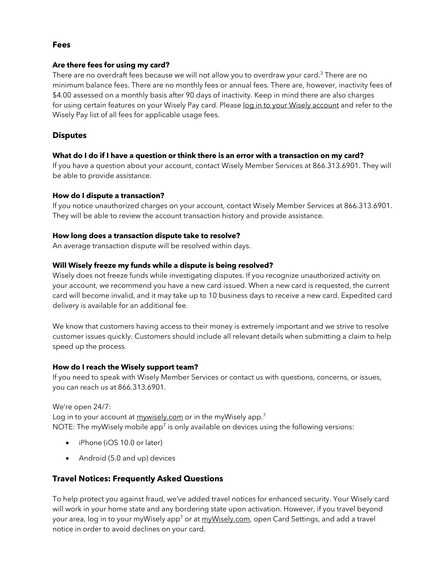# **Fees**

#### **Are there fees for using my card?**

There are no overdraft fees because we will not allow you to overdraw your card.<sup>3</sup> There are no minimum balance fees. There are no monthly fees or annual fees. There are, however, inactivity fees of \$4.00 assessed on a monthly basis after 90 days of inactivity. Keep in mind there are also charges for using certain features on your Wisely Pay card. Please log in to your Wisely account and refer to the Wisely Pay list of all fees for applicable usage fees.

# **Disputes**

# **What do I do if I have a question or think there is an error with a transaction on my card?**

If you have a question about your account, contact Wisely Member Services at 866.313.6901. They will be able to provide assistance.

# **How do I dispute a transaction?**

If you notice unauthorized charges on your account, contact Wisely Member Services at 866.313.6901. They will be able to review the account transaction history and provide assistance.

# **How long does a transaction dispute take to resolve?**

An average transaction dispute will be resolved within days.

# **Will Wisely freeze my funds while a dispute is being resolved?**

Wisely does not freeze funds while investigating disputes. If you recognize unauthorized activity on your account, we recommend you have a new card issued. When a new card is requested, the current card will become invalid, and it may take up to 10 business days to receive a new card. Expedited card delivery is available for an additional fee.

We know that customers having access to their money is extremely important and we strive to resolve customer issues quickly. Customers should include all relevant details when submitting a claim to help speed up the process.

#### **How do I reach the Wisely support team?**

If you need to speak with Wisely Member Services or contact us with questions, concerns, or issues, you can reach us at 866.313.6901.

We're open 24/7:

Log in to your account at mywisely.com or in the myWisely app.<sup>7</sup> NOTE: The myWisely mobile app<sup>7</sup> is only available on devices using the following versions:

- iPhone (iOS 10.0 or later)
- Android (5.0 and up) devices

# **Travel Notices: Frequently Asked Questions**

To help protect you against fraud, we've added travel notices for enhanced security. Your Wisely card will work in your home state and any bordering state upon activation. However, if you travel beyond your area, log in to your myWisely app<sup>7</sup> or at myWisely.com, open Card Settings, and add a travel notice in order to avoid declines on your card.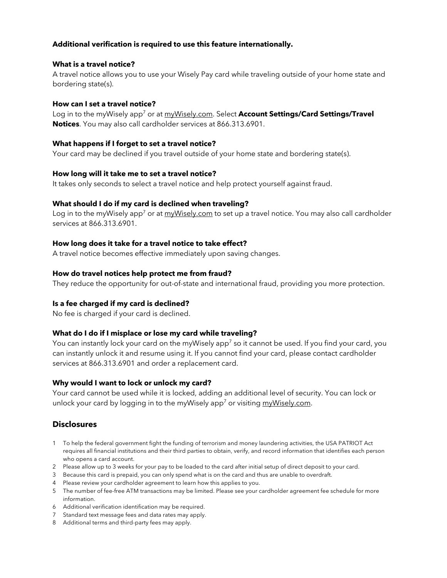# **Additional verification is required to use this feature internationally.**

## **What is a travel notice?**

A travel notice allows you to use your Wisely Pay card while traveling outside of your home state and bordering state(s).

#### **How can I set a travel notice?**

Log in to the myWisely app<sup>7</sup> or at myWisely.com. Select **Account Settings/Card Settings/Travel Notices**. You may also call cardholder services at 866.313.6901.

#### **What happens if I forget to set a travel notice?**

Your card may be declined if you travel outside of your home state and bordering state(s).

#### **How long will it take me to set a travel notice?**

It takes only seconds to select a travel notice and help protect yourself against fraud.

#### **What should I do if my card is declined when traveling?**

Log in to the myWisely app<sup>7</sup> or at myWisely.com to set up a travel notice. You may also call cardholder services at 866.313.6901.

#### **How long does it take for a travel notice to take effect?**

A travel notice becomes effective immediately upon saving changes.

#### **How do travel notices help protect me from fraud?**

They reduce the opportunity for out-of-state and international fraud, providing you more protection.

#### **Is a fee charged if my card is declined?**

No fee is charged if your card is declined.

#### **What do I do if I misplace or lose my card while traveling?**

You can instantly lock your card on the myWisely app<sup>7</sup> so it cannot be used. If you find your card, you can instantly unlock it and resume using it. If you cannot find your card, please contact cardholder services at 866.313.6901 and order a replacement card.

#### **Why would I want to lock or unlock my card?**

Your card cannot be used while it is locked, adding an additional level of security. You can lock or unlock your card by logging in to the myWisely app<sup>7</sup> or visiting myWisely.com.

#### **Disclosures**

- 1 To help the federal government fight the funding of terrorism and money laundering activities, the USA PATRIOT Act requires all financial institutions and their third parties to obtain, verify, and record information that identifies each person who opens a card account.
- 2 Please allow up to 3 weeks for your pay to be loaded to the card after initial setup of direct deposit to your card.
- 3 Because this card is prepaid, you can only spend what is on the card and thus are unable to overdraft.
- 4 Please review your cardholder agreement to learn how this applies to you.
- 5 The number of fee-free ATM transactions may be limited. Please see your cardholder agreement fee schedule for more information.
- 6 Additional verification identification may be required.
- 7 Standard text message fees and data rates may apply.
- 8 Additional terms and third-party fees may apply.